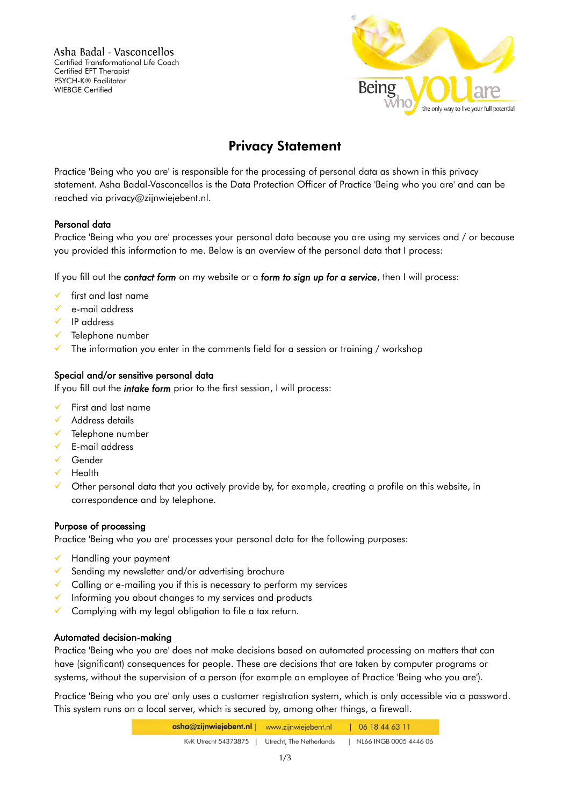Asha Badal - Vasconcellos Certified Transformational Life Coach Certified EFT Therapist PSYCH-K® Facilitator WIEBGE Certified



# Privacy Statement

Practice 'Being who you are' is responsible for the processing of personal data as shown in this privacy statement. Asha Badal-Vasconcellos is the Data Protection Officer of Practice 'Being who you are' and can be reached via privacy@zijnwiejebent.nl.

## Personal data

Practice 'Being who you are' processes your personal data because you are using my services and / or because you provided this information to me. Below is an overview of the personal data that I process:

If you fill out the *contact form* on my website or a *form to sign up for a service*, then I will process:

- first and last name
- e-mail address
- $\sqrt{ }$  IP address
- Telephone number
- $\checkmark$  The information you enter in the comments field for a session or training / workshop

## Special and/or sensitive personal data

If you fill out the *intake form* prior to the first session, I will process:

- First and last name
- Address details
- $\checkmark$  Telephone number
- $\checkmark$  E-mail address
- Gender
- $\checkmark$  Health
- $\checkmark$  Other personal data that you actively provide by, for example, creating a profile on this website, in correspondence and by telephone.

## Purpose of processing

Practice 'Being who you are' processes your personal data for the following purposes:

- Handling your payment
- $\checkmark$  Sending my newsletter and/or advertising brochure
- $\checkmark$  Calling or e-mailing you if this is necessary to perform my services
- $\checkmark$  Informing you about changes to my services and products
- Complying with my legal obligation to file a tax return.

## Automated decision-making

Practice 'Being who you are' does not make decisions based on automated processing on matters that can have (significant) consequences for people. These are decisions that are taken by computer programs or systems, without the supervision of a person (for example an employee of Practice 'Being who you are').

Practice 'Being who you are' only uses a customer registration system, which is only accessible via a password. This system runs on a local server, which is secured by, among other things, a firewall.

| asha@zijnwiejebent.nl | www.zijnwiejebent.nl     | 06 18 44 63 11         |
|-----------------------|--------------------------|------------------------|
| KvK Utrecht 54373875  | Utrecht, The Netherlands | NL66 INGB 0005 4446 06 |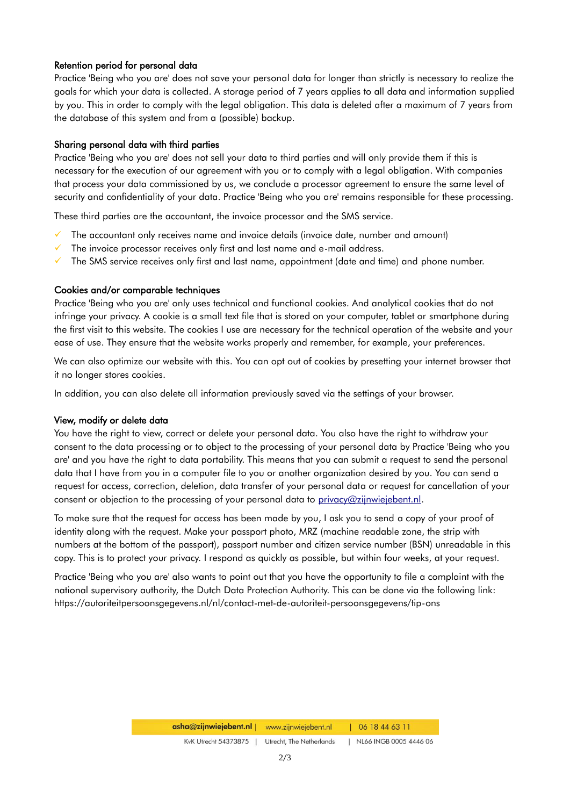## Retention period for personal data

Practice 'Being who you are' does not save your personal data for longer than strictly is necessary to realize the goals for which your data is collected. A storage period of 7 years applies to all data and information supplied by you. This in order to comply with the legal obligation. This data is deleted after a maximum of 7 years from the database of this system and from a (possible) backup.

## Sharing personal data with third parties

Practice 'Being who you are' does not sell your data to third parties and will only provide them if this is necessary for the execution of our agreement with you or to comply with a legal obligation. With companies that process your data commissioned by us, we conclude a processor agreement to ensure the same level of security and confidentiality of your data. Practice 'Being who you are' remains responsible for these processing.

These third parties are the accountant, the invoice processor and the SMS service.

- $\checkmark$  The accountant only receives name and invoice details (invoice date, number and amount)
- $\checkmark$  The invoice processor receives only first and last name and e-mail address.
- $\checkmark$  The SMS service receives only first and last name, appointment (date and time) and phone number.

## Cookies and/or comparable techniques

Practice 'Being who you are' only uses technical and functional cookies. And analytical cookies that do not infringe your privacy. A cookie is a small text file that is stored on your computer, tablet or smartphone during the first visit to this website. The cookies I use are necessary for the technical operation of the website and your ease of use. They ensure that the website works properly and remember, for example, your preferences.

We can also optimize our website with this. You can opt out of cookies by presetting your internet browser that it no longer stores cookies.

In addition, you can also delete all information previously saved via the settings of your browser.

## View, modify or delete data

You have the right to view, correct or delete your personal data. You also have the right to withdraw your consent to the data processing or to object to the processing of your personal data by Practice 'Being who you are' and you have the right to data portability. This means that you can submit a request to send the personal data that I have from you in a computer file to you or another organization desired by you. You can send a request for access, correction, deletion, data transfer of your personal data or request for cancellation of your consent or objection to the processing of your personal data to [privacy@zijnwiejebent.nl.](mailto:privacy@zijnwiejebent.nl)

To make sure that the request for access has been made by you, I ask you to send a copy of your proof of identity along with the request. Make your passport photo, MRZ (machine readable zone, the strip with numbers at the bottom of the passport), passport number and citizen service number (BSN) unreadable in this copy. This is to protect your privacy. I respond as quickly as possible, but within four weeks, at your request.

Practice 'Being who you are' also wants to point out that you have the opportunity to file a complaint with the national supervisory authority, the Dutch Data Protection Authority. This can be done via the following link: https://autoriteitpersoonsgegevens.nl/nl/contact-met-de-autoriteit-persoonsgegevens/tip-ons